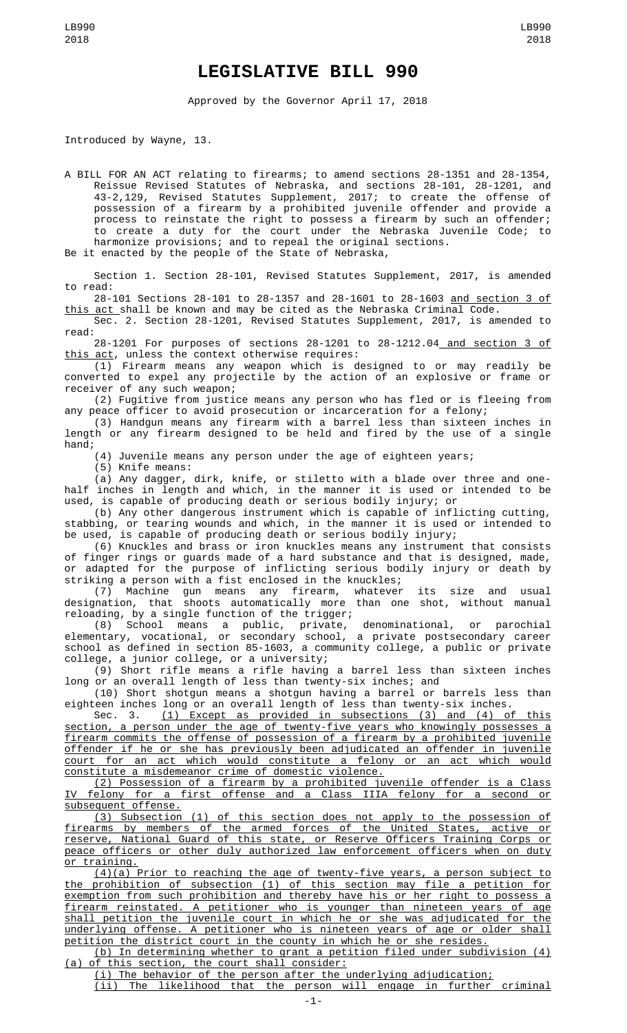## **LEGISLATIVE BILL 990**

Approved by the Governor April 17, 2018

Introduced by Wayne, 13.

A BILL FOR AN ACT relating to firearms; to amend sections 28-1351 and 28-1354, Reissue Revised Statutes of Nebraska, and sections 28-101, 28-1201, and 43-2,129, Revised Statutes Supplement, 2017; to create the offense of possession of a firearm by a prohibited juvenile offender and provide a process to reinstate the right to possess a firearm by such an offender; to create a duty for the court under the Nebraska Juvenile Code; to harmonize provisions; and to repeal the original sections.

Be it enacted by the people of the State of Nebraska,

Section 1. Section 28-101, Revised Statutes Supplement, 2017, is amended to read:

28-101 Sections 28-101 to 28-1357 and 28-1601 to 28-1603 and section 3 of this act shall be known and may be cited as the Nebraska Criminal Code.

Sec. 2. Section 28-1201, Revised Statutes Supplement, 2017, is amended to read:

28-1201 For purposes of sections 28-1201 to 28-1212.04 and section 3 of this act, unless the context otherwise requires:

(1) Firearm means any weapon which is designed to or may readily be converted to expel any projectile by the action of an explosive or frame or receiver of any such weapon;

(2) Fugitive from justice means any person who has fled or is fleeing from any peace officer to avoid prosecution or incarceration for a felony;

(3) Handgun means any firearm with a barrel less than sixteen inches in length or any firearm designed to be held and fired by the use of a single hand;

(4) Juvenile means any person under the age of eighteen years;

(5) Knife means:

(a) Any dagger, dirk, knife, or stiletto with a blade over three and onehalf inches in length and which, in the manner it is used or intended to be used, is capable of producing death or serious bodily injury; or

(b) Any other dangerous instrument which is capable of inflicting cutting, stabbing, or tearing wounds and which, in the manner it is used or intended to be used, is capable of producing death or serious bodily injury;

(6) Knuckles and brass or iron knuckles means any instrument that consists of finger rings or guards made of a hard substance and that is designed, made, or adapted for the purpose of inflicting serious bodily injury or death by striking a person with a fist enclosed in the knuckles;

(7) Machine gun means any firearm, whatever its size and usual designation, that shoots automatically more than one shot, without manual reloading, by a single function of the trigger;

(8) School means a public, private, denominational, or parochial elementary, vocational, or secondary school, a private postsecondary career school as defined in section 85-1603, a community college, a public or private college, a junior college, or a university;

(9) Short rifle means a rifle having a barrel less than sixteen inches long or an overall length of less than twenty-six inches; and

(10) Short shotgun means a shotgun having a barrel or barrels less than eighteen inches long or an overall length of less than twenty-six inches.<br>Sec. 3.  $(1)$  Except as provided in subsections (3) and (4) or

(1) Except as provided in subsections (3) and (4) of this section, a person under the age of twenty-five years who knowingly possesses a firearm commits the offense of possession of a firearm by a prohibited juvenile offender if he or she has previously been adjudicated an offender in juvenile court for an act which would constitute a felony or an act which would constitute a misdemeanor crime of domestic violence.

(2) Possession of a firearm by a prohibited juvenile offender is a Class felony for a first offense and a Class IIIA felony for a second or subsequent offense.

(3) Subsection (1) of this section does not apply to the possession of firearms by members of the armed forces of the United States, active or reserve, National Guard of this state, or Reserve Officers Training Corps or peace officers or other duly authorized law enforcement officers when on duty or training.

(4)(a) Prior to reaching the age of twenty-five years, a person subject to the prohibition of subsection (1) of this section may file a petition for exemption from such prohibition and thereby have his or her right to possess a firearm reinstated. A petitioner who is younger than nineteen years of age shall petition the juvenile court in which he or she was adjudicated for the underlying offense. A petitioner who is nineteen years of age or older shall petition the district court in the county in which he or she resides.

(b) In determining whether to grant a petition filed under subdivision (4) (a) of this section, the court shall consider:

(i) The behavior of the person after the underlying adjudication;

(ii) The likelihood that the person will engage in further criminal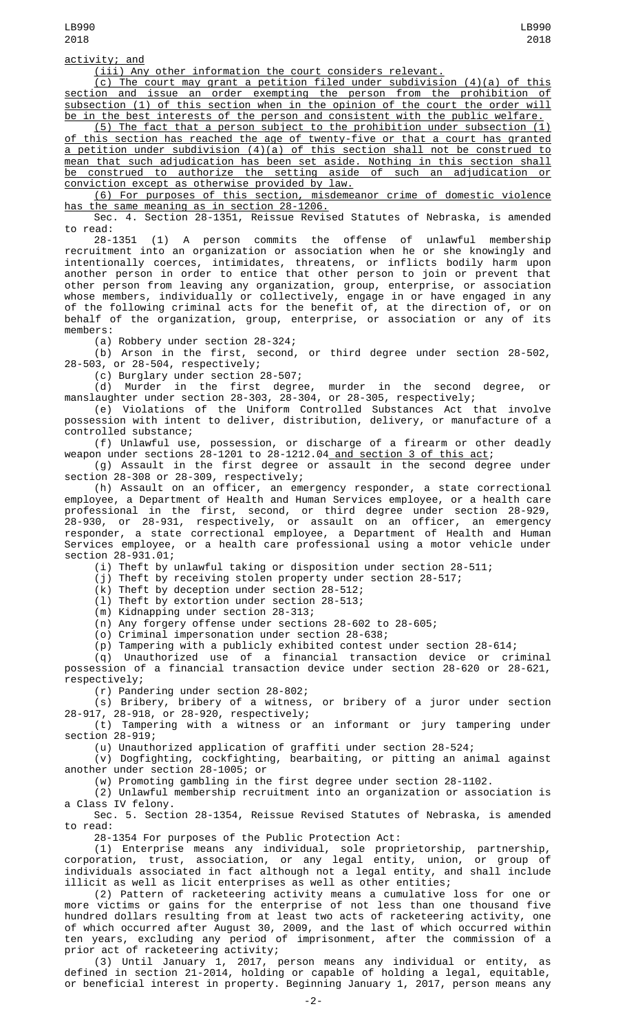## activity; and

(iii) Any other information the court considers relevant.

(c) The court may grant a petition filed under subdivision (4)(a) of this section and issue an order exempting the person from the prohibition of subsection (1) of this section when in the opinion of the court the order will be in the best interests of the person and consistent with the public welfare.

(5) The fact that a person subject to the prohibition under subsection (1) of this section has reached the age of twenty-five or that a court has granted a petition under subdivision (4)(a) of this section shall not be construed to mean that such adjudication has been set aside. Nothing in this section shall be construed to authorize the setting aside of such an adjudication or conviction except as otherwise provided by law.

(6) For purposes of this section, misdemeanor crime of domestic violence has the same meaning as in section 28-1206.

Sec. 4. Section 28-1351, Reissue Revised Statutes of Nebraska, is amended to read:

28-1351 (1) A person commits the offense of unlawful membership recruitment into an organization or association when he or she knowingly and intentionally coerces, intimidates, threatens, or inflicts bodily harm upon another person in order to entice that other person to join or prevent that other person from leaving any organization, group, enterprise, or association whose members, individually or collectively, engage in or have engaged in any of the following criminal acts for the benefit of, at the direction of, or on behalf of the organization, group, enterprise, or association or any of its members:

(a) Robbery under section 28-324;

(b) Arson in the first, second, or third degree under section 28-502, 28-503, or 28-504, respectively;

(c) Burglary under section 28-507;

(d) Murder in the first degree, murder in the second degree, or manslaughter under section 28-303, 28-304, or 28-305, respectively;

(e) Violations of the Uniform Controlled Substances Act that involve possession with intent to deliver, distribution, delivery, or manufacture of a controlled substance;

(f) Unlawful use, possession, or discharge of a firearm or other deadly weapon under sections 28-1201 to 28-1212.04<u> and section 3 of this act</u>;

(g) Assault in the first degree or assault in the second degree under section 28-308 or 28-309, respectively;

(h) Assault on an officer, an emergency responder, a state correctional employee, a Department of Health and Human Services employee, or a health care professional in the first, second, or third degree under section 28-929, 28-930, or 28-931, respectively, or assault on an officer, an emergency responder, a state correctional employee, a Department of Health and Human Services employee, or a health care professional using a motor vehicle under section 28-931.01;

(i) Theft by unlawful taking or disposition under section 28-511;

(j) Theft by receiving stolen property under section 28-517;

(k) Theft by deception under section 28-512;

(l) Theft by extortion under section 28-513;

(m) Kidnapping under section 28-313;

(n) Any forgery offense under sections 28-602 to 28-605;

(o) Criminal impersonation under section 28-638;

(p) Tampering with a publicly exhibited contest under section 28-614;

(q) Unauthorized use of a financial transaction device or criminal possession of a financial transaction device under section 28-620 or 28-621, respectively;

(r) Pandering under section 28-802;

(s) Bribery, bribery of a witness, or bribery of a juror under section 28-917, 28-918, or 28-920, respectively;

(t) Tampering with a witness or an informant or jury tampering under section 28-919;

(u) Unauthorized application of graffiti under section 28-524;

(v) Dogfighting, cockfighting, bearbaiting, or pitting an animal against another under section 28-1005; or

(w) Promoting gambling in the first degree under section 28-1102.

(2) Unlawful membership recruitment into an organization or association is a Class IV felony.

Sec. 5. Section 28-1354, Reissue Revised Statutes of Nebraska, is amended to read:

28-1354 For purposes of the Public Protection Act:

(1) Enterprise means any individual, sole proprietorship, partnership, corporation, trust, association, or any legal entity, union, or group of individuals associated in fact although not a legal entity, and shall include illicit as well as licit enterprises as well as other entities;

(2) Pattern of racketeering activity means a cumulative loss for one or more victims or gains for the enterprise of not less than one thousand five hundred dollars resulting from at least two acts of racketeering activity, one of which occurred after August 30, 2009, and the last of which occurred within ten years, excluding any period of imprisonment, after the commission of a prior act of racketeering activity;

(3) Until January 1, 2017, person means any individual or entity, as defined in section 21-2014, holding or capable of holding a legal, equitable, or beneficial interest in property. Beginning January 1, 2017, person means any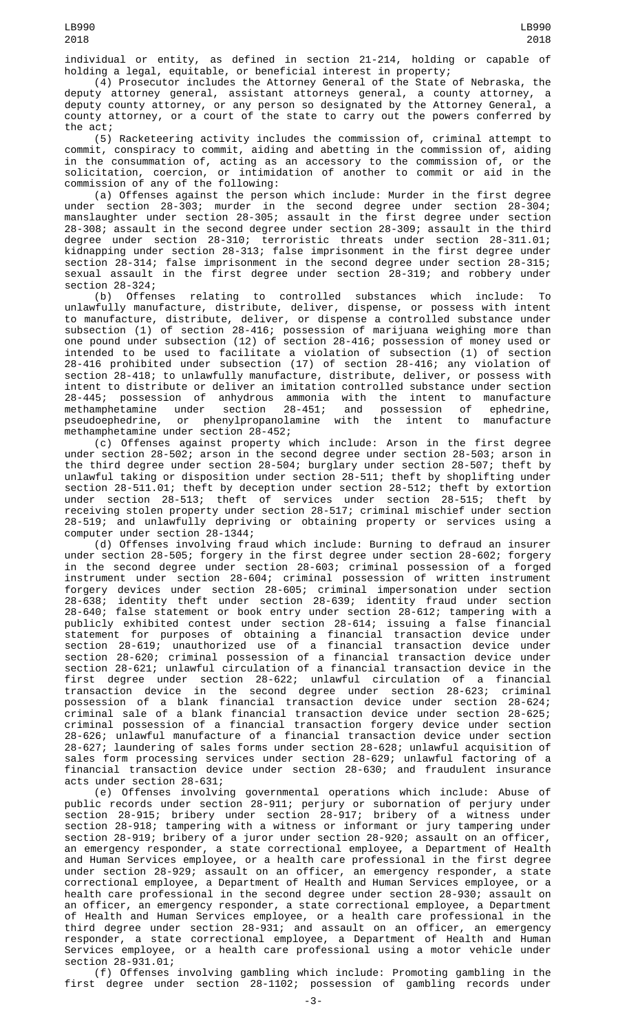individual or entity, as defined in section 21-214, holding or capable of holding a legal, equitable, or beneficial interest in property;

(4) Prosecutor includes the Attorney General of the State of Nebraska, the deputy attorney general, assistant attorneys general, a county attorney, a deputy county attorney, or any person so designated by the Attorney General, a county attorney, or a court of the state to carry out the powers conferred by the act;

(5) Racketeering activity includes the commission of, criminal attempt to commit, conspiracy to commit, aiding and abetting in the commission of, aiding in the consummation of, acting as an accessory to the commission of, or the solicitation, coercion, or intimidation of another to commit or aid in the commission of any of the following:

(a) Offenses against the person which include: Murder in the first degree under section 28-303; murder in the second degree under section 28-304; manslaughter under section 28-305; assault in the first degree under section 28-308; assault in the second degree under section 28-309; assault in the third degree under section 28-310; terroristic threats under section 28-311.01; kidnapping under section 28-313; false imprisonment in the first degree under section 28-314; false imprisonment in the second degree under section 28-315; sexual assault in the first degree under section 28-319; and robbery under section 28-324;

(b) Offenses relating to controlled substances which include: To unlawfully manufacture, distribute, deliver, dispense, or possess with intent to manufacture, distribute, deliver, or dispense a controlled substance under subsection (1) of section 28-416; possession of marijuana weighing more than one pound under subsection (12) of section 28-416; possession of money used or intended to be used to facilitate a violation of subsection (1) of section 28-416 prohibited under subsection (17) of section 28-416; any violation of section 28-418; to unlawfully manufacture, distribute, deliver, or possess with intent to distribute or deliver an imitation controlled substance under section 28-445; possession of anhydrous ammonia with the intent to manufacture methamphetamine under section 28-451; and possession of ephedrine, pseudoephedrine, or phenylpropanolamine with the intent to manufacture methamphetamine under section 28-452;

(c) Offenses against property which include: Arson in the first degree<br>under section 28-502; arson in the second degree under section 28-503; arson in section 28-502; arson in the second degree under section 28-503; arson in the third degree under section 28-504; burglary under section 28-507; theft by unlawful taking or disposition under section 28-511; theft by shoplifting under section 28-511.01; theft by deception under section 28-512; theft by extortion under section 28-513; theft of services under section 28-515; theft by receiving stolen property under section 28-517; criminal mischief under section 28-519; and unlawfully depriving or obtaining property or services using a computer under section 28-1344;

(d) Offenses involving fraud which include: Burning to defraud an insurer under section 28-505; forgery in the first degree under section 28-602; forgery in the second degree under section 28-603; criminal possession of a forged instrument under section 28-604; criminal possession of written instrument forgery devices under section 28-605; criminal impersonation under section 28-638; identity theft under section 28-639; identity fraud under section 28-640; false statement or book entry under section 28-612; tampering with a publicly exhibited contest under section 28-614; issuing a false financial statement for purposes of obtaining a financial transaction device under section 28-619; unauthorized use of a financial transaction device under section 28-620; criminal possession of a financial transaction device under section 28-621; unlawful circulation of a financial transaction device in the first degree under section 28-622; unlawful circulation of a financial transaction device in the second degree under section 28-623; criminal possession of a blank financial transaction device under section 28-624; criminal sale of a blank financial transaction device under section 28-625; criminal possession of a financial transaction forgery device under section 28-626; unlawful manufacture of a financial transaction device under section 28-627; laundering of sales forms under section 28-628; unlawful acquisition of sales form processing services under section 28-629; unlawful factoring of a financial transaction device under section 28-630; and fraudulent insurance acts under section 28-631;

(e) Offenses involving governmental operations which include: Abuse of public records under section 28-911; perjury or subornation of perjury under section 28-915; bribery under section 28-917; bribery of a witness under section 28-918; tampering with a witness or informant or jury tampering under section 28-919; bribery of a juror under section 28-920; assault on an officer, an emergency responder, a state correctional employee, a Department of Health and Human Services employee, or a health care professional in the first degree under section 28-929; assault on an officer, an emergency responder, a state correctional employee, a Department of Health and Human Services employee, or a health care professional in the second degree under section 28-930; assault on an officer, an emergency responder, a state correctional employee, a Department of Health and Human Services employee, or a health care professional in the third degree under section 28-931; and assault on an officer, an emergency responder, a state correctional employee, a Department of Health and Human Services employee, or a health care professional using a motor vehicle under section 28-931.01;

(f) Offenses involving gambling which include: Promoting gambling in the first degree under section 28-1102; possession of gambling records under